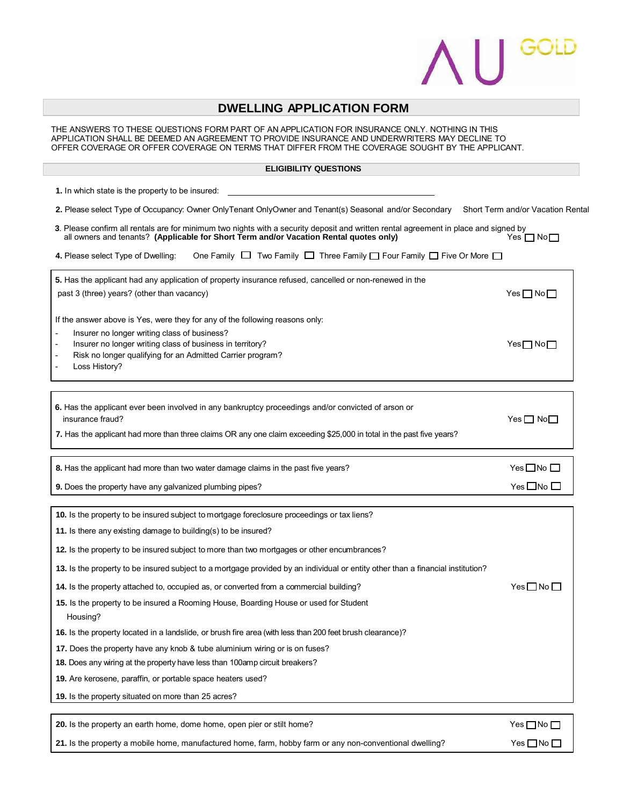

## **DWELLING APPLICATION FORM**

THE ANSWERS TO THESE QUESTIONS FORM PART OF AN APPLICATION FOR INSURANCE ONLY. NOTHING IN THIS APPLICATION SHALL BE DEEMED AN AGREEMENT TO PROVIDE INSURANCE AND UNDERWRITERS MAY DECLINE TO OFFER COVERAGE OR OFFER COVERAGE ON TERMS THAT DIFFER FROM THE COVERAGE SOUGHT BY THE APPLICANT.

## **ELIGIBILITY QUESTIONS**

| 1. In which state is the property to be insured:                                                                                                                                                                               |                                   |
|--------------------------------------------------------------------------------------------------------------------------------------------------------------------------------------------------------------------------------|-----------------------------------|
| 2. Please select Type of Occupancy: Owner OnlyTenant OnlyOwner and Tenant(s) Seasonal and/or Secondary                                                                                                                         | Short Term and/or Vacation Rental |
| 3. Please confirm all rentals are for minimum two nights with a security deposit and written rental agreement in place and signed by<br>all owners and tenants? (Applicable for Short Term and/or Vacation Rental quotes only) | Yes $\Box$ No $\Box$              |
| One Family $\Box$ Two Family $\Box$ Three Family $\Box$ Four Family $\Box$ Five Or More $\Box$<br>4. Please select Type of Dwelling:                                                                                           |                                   |
| 5. Has the applicant had any application of property insurance refused, cancelled or non-renewed in the                                                                                                                        |                                   |
| past 3 (three) years? (other than vacancy)                                                                                                                                                                                     | $Yes \Box No \Box$                |
| If the answer above is Yes, were they for any of the following reasons only:                                                                                                                                                   |                                   |
| Insurer no longer writing class of business?                                                                                                                                                                                   |                                   |
| Insurer no longer writing class of business in territory?<br>Risk no longer qualifying for an Admitted Carrier program?                                                                                                        | $Yes \Box No \Box$                |
| Loss History?                                                                                                                                                                                                                  |                                   |
|                                                                                                                                                                                                                                |                                   |
| 6. Has the applicant ever been involved in any bankruptcy proceedings and/or convicted of arson or<br>insurance fraud?                                                                                                         | Yes $\Box$ No $\Box$              |
| 7. Has the applicant had more than three claims OR any one claim exceeding \$25,000 in total in the past five years?                                                                                                           |                                   |
| 8. Has the applicant had more than two water damage claims in the past five years?                                                                                                                                             | $Yes \Box No \Box$                |
| 9. Does the property have any galvanized plumbing pipes?                                                                                                                                                                       | Yes□No□                           |
|                                                                                                                                                                                                                                |                                   |
| 10. Is the property to be insured subject to mortgage foreclosure proceedings or tax liens?                                                                                                                                    |                                   |
| 11. Is there any existing damage to building(s) to be insured?                                                                                                                                                                 |                                   |
| 12. Is the property to be insured subject to more than two mortgages or other encumbrances?                                                                                                                                    |                                   |

**13.** Is the property to be insured subject to a mortgage provided by an individual or entity other than a financial institution?

**14.** Is the property attached to, occupied as, or converted from a commercial building? Yes No  $\Box$  No  $\Box$ 

 **15.** Is the property to be insured a Rooming House, Boarding House or used for Student Housing?

 **16.** Is the property located in a landslide, or brush fire area (with less than 200 feet brush clearance)?

 **17.** Does the property have any knob & tube aluminium wiring or is on fuses?

 **18.** Does any wiring at the property have less than 100amp circuit breakers?

 **19.** Are kerosene, paraffin, or portable space heaters used?

 **19.** Is the property situated on more than 25 acres?

**20.** Is the property an earth home, dome home, open pier or stilt home? Yes No  $\Box$  No  $\Box$ 

**21.** Is the property a mobile home, manufactured home, farm, hobby farm or any non-conventional dwelling? Yes No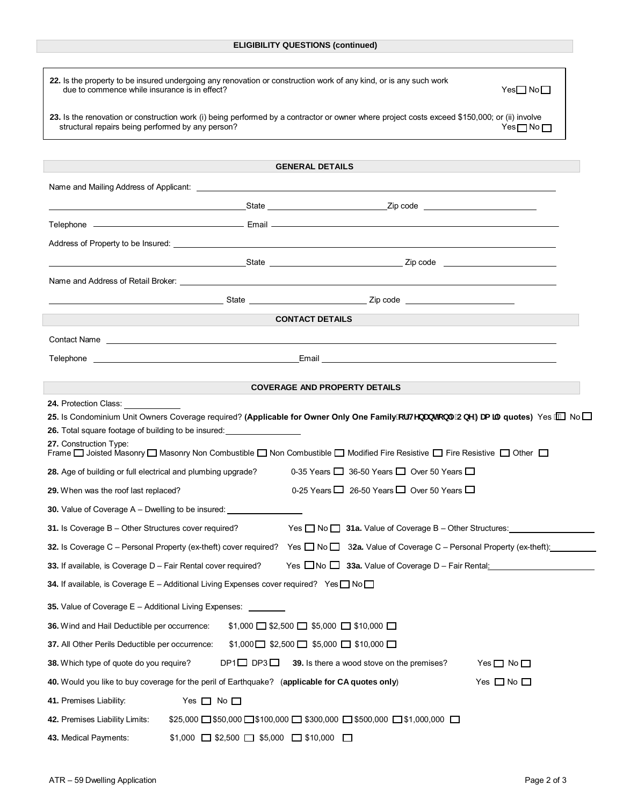| 22. Is the property to be insured undergoing any renovation or construction work of any kind, or is any such work<br>due to commence while insurance is in effect? | Yes□ No□                                                                                                                                                                                                                                                    |  |  |
|--------------------------------------------------------------------------------------------------------------------------------------------------------------------|-------------------------------------------------------------------------------------------------------------------------------------------------------------------------------------------------------------------------------------------------------------|--|--|
| structural repairs being performed by any person?                                                                                                                  | 23. Is the renovation or construction work (i) being performed by a contractor or owner where project costs exceed \$150,000; or (ii) involve<br>Yes□No□                                                                                                    |  |  |
|                                                                                                                                                                    |                                                                                                                                                                                                                                                             |  |  |
|                                                                                                                                                                    | <b>GENERAL DETAILS</b>                                                                                                                                                                                                                                      |  |  |
|                                                                                                                                                                    |                                                                                                                                                                                                                                                             |  |  |
|                                                                                                                                                                    | <u>State State State State State State State State State State State State State State State State State State State State State State State State State State State State State State State State State State State State State</u>                        |  |  |
|                                                                                                                                                                    |                                                                                                                                                                                                                                                             |  |  |
|                                                                                                                                                                    |                                                                                                                                                                                                                                                             |  |  |
|                                                                                                                                                                    | <u>State State State State State State State State State State State State State State State State State State State State State State State State State State State State State State State State State State State State State</u>                        |  |  |
|                                                                                                                                                                    | Name and Address of Retail Broker: <u>Committee Committee and Committee and Committee and Committee and Committee and</u>                                                                                                                                   |  |  |
|                                                                                                                                                                    | and the state state state state state state state state state state state state state state state state state s                                                                                                                                             |  |  |
|                                                                                                                                                                    | <b>CONTACT DETAILS</b>                                                                                                                                                                                                                                      |  |  |
| Contact Name <b>contact Name contact Name contact Name contact Name contact Name</b>                                                                               |                                                                                                                                                                                                                                                             |  |  |
|                                                                                                                                                                    |                                                                                                                                                                                                                                                             |  |  |
| <b>COVERAGE AND PROPERTY DETAILS</b>                                                                                                                               |                                                                                                                                                                                                                                                             |  |  |
| 24. Protection Class: New York 1997<br>26. Total square footage of building to be insured:<br>27. Construction Type:                                               | 25. Is Condominium Unit Owners Coverage required? (Applicable for Owner Only One Family cf HYbUblicb`mCbY: Ua ∏mquotes) Yes AND<br>Frame □ Joisted Masonry □ Masonry Non Combustible □ Non Combustible □ Modified Fire Resistive □ Fire Resistive □ Other □ |  |  |
| 28. Age of building or full electrical and plumbing upgrade?                                                                                                       | 0-35 Years $\Box$ 36-50 Years $\Box$ Over 50 Years $\Box$                                                                                                                                                                                                   |  |  |
| 0-25 Years $\Box$ 26-50 Years $\Box$ Over 50 Years $\Box$<br>29. When was the roof last replaced?                                                                  |                                                                                                                                                                                                                                                             |  |  |
| <b>30.</b> Value of Coverage A – Dwelling to be insured:                                                                                                           |                                                                                                                                                                                                                                                             |  |  |
| 31. Is Coverage B - Other Structures cover required? Yes No 31a. Value of Coverage B - Other Structures:                                                           |                                                                                                                                                                                                                                                             |  |  |
| 32. Is Coverage C – Personal Property (ex-theft) cover required? Yes □ No □ 32a. Value of Coverage C – Personal Property (ex-theft): internal Property (ex-theft): |                                                                                                                                                                                                                                                             |  |  |
| Yes $\Box$ No $\Box$ 33a. Value of Coverage D - Fair Rental: $\Box$<br>33. If available, is Coverage D - Fair Rental cover required?                               |                                                                                                                                                                                                                                                             |  |  |
| <b>34.</b> If available, is Coverage E – Additional Living Expenses cover required? Yes $\Box$ No $\Box$                                                           |                                                                                                                                                                                                                                                             |  |  |
| 35. Value of Coverage E - Additional Living Expenses: _                                                                                                            |                                                                                                                                                                                                                                                             |  |  |
| 36. Wind and Hail Deductible per occurrence:                                                                                                                       | $$1,000$ $\Box$ \$2,500 $\Box$ \$5,000 $\Box$ \$10,000 $\Box$                                                                                                                                                                                               |  |  |
| 37. All Other Perils Deductible per occurrence:                                                                                                                    | $$1,000$ $$2,500$ $$5,000$ $$10,000$ $$$                                                                                                                                                                                                                    |  |  |
| 38. Which type of quote do you require?<br>$DP1 \square$ $DP3 \square$                                                                                             | 39. Is there a wood stove on the premises?<br>Yes $\Box$ No $\Box$                                                                                                                                                                                          |  |  |
| 40. Would you like to buy coverage for the peril of Earthquake? (applicable for CA quotes only)                                                                    | Yes $\Box$ No $\Box$                                                                                                                                                                                                                                        |  |  |
| 41. Premises Liability:<br>Yes $\Box$ No $\Box$                                                                                                                    |                                                                                                                                                                                                                                                             |  |  |
| $$25,000$ $\Box$ \$50,000 $\Box$ \$100,000 $\Box$ \$300,000 $\Box$ \$500,000 $\Box$ \$1,000,000 $\Box$<br>42. Premises Liability Limits:                           |                                                                                                                                                                                                                                                             |  |  |
| 43. Medical Payments:<br>$$1,000$ $\Box$ \$2,500 $\Box$ \$5,000 $\Box$ \$10,000 $\Box$                                                                             |                                                                                                                                                                                                                                                             |  |  |